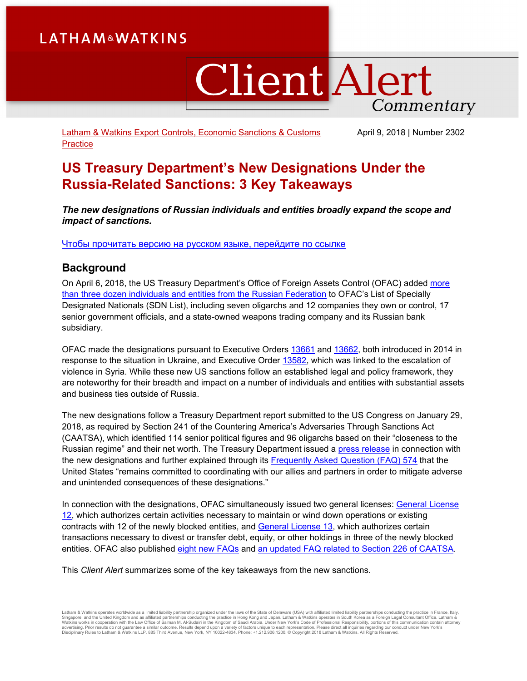# **LATHAM&WATKINS**

# **Client Alert** Commentary

[Latham & Watkins Export Controls, Economic Sanctions & Customs](https://www.lw.com/practices/ExportControlsAndEconomicSanctions)  **[Practice](https://www.lw.com/practices/ExportControlsAndEconomicSanctions)** 

April 9, 2018 | Number 2302

## **US Treasury Department's New Designations Under the Russia-Related Sanctions: 3 Key Takeaways**

*The new designations of Russian individuals and entities broadly expand the scope and impact of sanctions.*

[Чтобы прочитать версию на русском языке, перейдите по ссылке](https://www.lw.com/thoughtLeadership/treasury-departments-new-designations-under-the-russia-related-sanctions-russian-version)

## **Background**

On April 6, 2018, the US Treasury Department's Office of Foreign Assets Control (OFAC) added [more](https://www.treasury.gov/resource-center/sanctions/OFAC-Enforcement/Pages/20180406.aspx)  [than three dozen individuals and entities](https://www.treasury.gov/resource-center/sanctions/OFAC-Enforcement/Pages/20180406.aspx) from the Russian Federation to OFAC's List of Specially Designated Nationals (SDN List), including seven oligarchs and 12 companies they own or control, 17 senior government officials, and a state-owned weapons trading company and its Russian bank subsidiary.

OFAC made the designations pursuant to Executive Orders [13661](https://www.treasury.gov/resource-center/sanctions/Programs/Documents/ukraine_eo2.pdf) and [13662,](https://www.treasury.gov/resource-center/sanctions/Programs/Documents/ukraine_eo3.pdf) both introduced in 2014 in response to the situation in Ukraine, and Executive Order [13582,](https://www.treasury.gov/resource-center/sanctions/Programs/Documents/syria_eo_08182011.pdf) which was linked to the escalation of violence in Syria. While these new US sanctions follow an established legal and policy framework, they are noteworthy for their breadth and impact on a number of individuals and entities with substantial assets and business ties outside of Russia.

The new designations follow a Treasury Department report submitted to the US Congress on January 29, 2018, as required by Section 241 of the Countering America's Adversaries Through Sanctions Act (CAATSA), which identified 114 senior political figures and 96 oligarchs based on their "closeness to the Russian regime" and their net worth. The Treasury Department issued a [press release](https://home.treasury.gov/news/press-releases/sm0338) in connection with the new designations and further explained through its [Frequently Asked Question](https://www.treasury.gov/resource-center/faqs/Sanctions/Pages/faq_other.aspx#574) (FAQ) 574 that the United States "remains committed to coordinating with our allies and partners in order to mitigate adverse and unintended consequences of these designations."

In connection with the designations, OFAC simultaneously issued two general licenses: [General License](https://www.treasury.gov/resource-center/sanctions/Programs/Documents/ukraine_gl12.pdf)  [12,](https://www.treasury.gov/resource-center/sanctions/Programs/Documents/ukraine_gl12.pdf) which authorizes certain activities necessary to maintain or wind down operations or existing contracts with 12 of the newly blocked entities, and [General License 13,](https://www.treasury.gov/resource-center/sanctions/Programs/Documents/ukraine_gl13.pdf) which authorizes certain transactions necessary to divest or transfer debt, equity, or other holdings in three of the newly blocked entities. OFAC also published eight [new FAQs](https://www.treasury.gov/resource-center/faqs/Sanctions/Pages/faq_other.aspx#567) and [an updated FAQ](https://www.treasury.gov/resource-center/faqs/Sanctions/Pages/faq_other.aspx#542) related to Section 226 of CAATSA.

This *Client Alert* summarizes some of the key takeaways from the new sanctions.

Latham & Watkins operates worldwide as a limited liablitty partnership organized under the laws of the State of Delaware (USA) with affiliated limited liablitty partnerships conducting the practice in France, Italy,<br>Singap advertising. Prior results do not guarantee a similar outcome. Results depend upon a variety of factors unique to each representation. Please direct all inquiries regarding our conduct under New York's Disciplinary Rules to Latham & Watkins LLP, 885 Third Avenue, New York, NY 10022-4834, Phone: +1.212.906.1200. © Copyright 2018 Latham & Watkins. All Rights Reserved.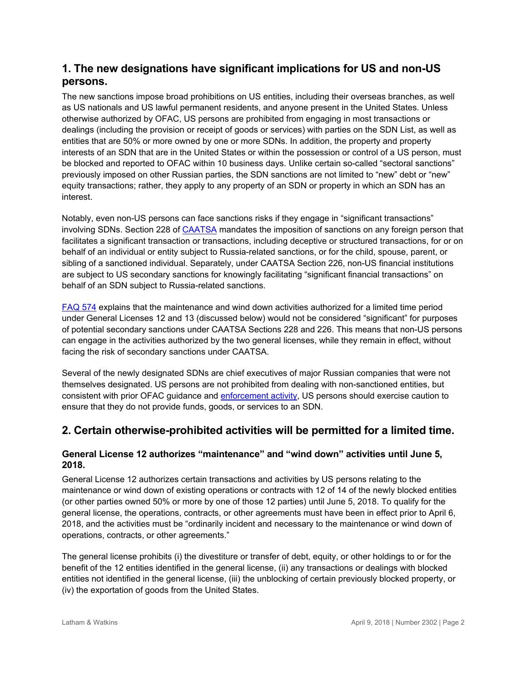## **1. The new designations have significant implications for US and non-US persons.**

The new sanctions impose broad prohibitions on US entities, including their overseas branches, as well as US nationals and US lawful permanent residents, and anyone present in the United States. Unless otherwise authorized by OFAC, US persons are prohibited from engaging in most transactions or dealings (including the provision or receipt of goods or services) with parties on the SDN List, as well as entities that are 50% or more owned by one or more SDNs. In addition, the property and property interests of an SDN that are in the United States or within the possession or control of a US person, must be blocked and reported to OFAC within 10 business days. Unlike certain so-called "sectoral sanctions" previously imposed on other Russian parties, the SDN sanctions are not limited to "new" debt or "new" equity transactions; rather, they apply to any property of an SDN or property in which an SDN has an interest.

Notably, even non-US persons can face sanctions risks if they engage in "significant transactions" involving SDNs. Section 228 of [CAATSA](https://www.treasury.gov/resource-center/sanctions/Programs/Documents/hr3364_pl115-44.pdf) mandates the imposition of sanctions on any foreign person that facilitates a significant transaction or transactions, including deceptive or structured transactions, for or on behalf of an individual or entity subject to Russia-related sanctions, or for the child, spouse, parent, or sibling of a sanctioned individual. Separately, under CAATSA Section 226, non-US financial institutions are subject to US secondary sanctions for knowingly facilitating "significant financial transactions" on behalf of an SDN subject to Russia-related sanctions.

[FAQ 574](https://www.treasury.gov/resource-center/faqs/Sanctions/Pages/faq_other.aspx#574) explains that the maintenance and wind down activities authorized for a limited time period under General Licenses 12 and 13 (discussed below) would not be considered "significant" for purposes of potential secondary sanctions under CAATSA Sections 228 and 226. This means that non-US persons can engage in the activities authorized by the two general licenses, while they remain in effect, without facing the risk of secondary sanctions under CAATSA.

Several of the newly designated SDNs are chief executives of major Russian companies that were not themselves designated. US persons are not prohibited from dealing with non-sanctioned entities, but consistent with prior OFAC guidance and [enforcement activity,](https://www.treasury.gov/resource-center/sanctions/CivPen/Documents/20170720_exxonmobil.pdf) US persons should exercise caution to ensure that they do not provide funds, goods, or services to an SDN.

## **2. Certain otherwise-prohibited activities will be permitted for a limited time.**

### **General License 12 authorizes "maintenance" and "wind down" activities until June 5, 2018.**

General License 12 authorizes certain transactions and activities by US persons relating to the maintenance or wind down of existing operations or contracts with 12 of 14 of the newly blocked entities (or other parties owned 50% or more by one of those 12 parties) until June 5, 2018. To qualify for the general license, the operations, contracts, or other agreements must have been in effect prior to April 6, 2018, and the activities must be "ordinarily incident and necessary to the maintenance or wind down of operations, contracts, or other agreements."

The general license prohibits (i) the divestiture or transfer of debt, equity, or other holdings to or for the benefit of the 12 entities identified in the general license, (ii) any transactions or dealings with blocked entities not identified in the general license, (iii) the unblocking of certain previously blocked property, or (iv) the exportation of goods from the United States.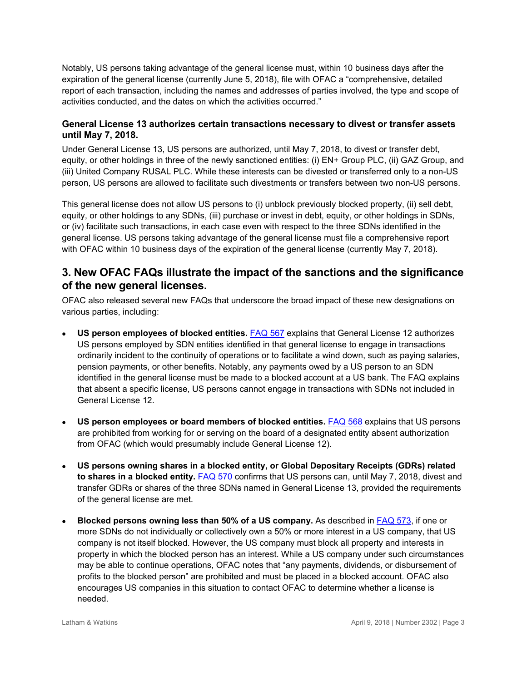Notably, US persons taking advantage of the general license must, within 10 business days after the expiration of the general license (currently June 5, 2018), file with OFAC a "comprehensive, detailed report of each transaction, including the names and addresses of parties involved, the type and scope of activities conducted, and the dates on which the activities occurred."

#### **General License 13 authorizes certain transactions necessary to divest or transfer assets until May 7, 2018.**

Under General License 13, US persons are authorized, until May 7, 2018, to divest or transfer debt, equity, or other holdings in three of the newly sanctioned entities: (i) EN+ Group PLC, (ii) GAZ Group, and (iii) United Company RUSAL PLC. While these interests can be divested or transferred only to a non-US person, US persons are allowed to facilitate such divestments or transfers between two non-US persons.

This general license does not allow US persons to (i) unblock previously blocked property, (ii) sell debt, equity, or other holdings to any SDNs, (iii) purchase or invest in debt, equity, or other holdings in SDNs, or (iv) facilitate such transactions, in each case even with respect to the three SDNs identified in the general license. US persons taking advantage of the general license must file a comprehensive report with OFAC within 10 business days of the expiration of the general license (currently May 7, 2018).

## **3. New OFAC FAQs illustrate the impact of the sanctions and the significance of the new general licenses.**

OFAC also released several new FAQs that underscore the broad impact of these new designations on various parties, including:

- **US person employees of blocked entities.** [FAQ 567](https://www.treasury.gov/resource-center/faqs/Sanctions/Pages/faq_other.aspx#567) explains that General License 12 authorizes US persons employed by SDN entities identified in that general license to engage in transactions ordinarily incident to the continuity of operations or to facilitate a wind down, such as paying salaries, pension payments, or other benefits. Notably, any payments owed by a US person to an SDN identified in the general license must be made to a blocked account at a US bank. The FAQ explains that absent a specific license, US persons cannot engage in transactions with SDNs not included in General License 12.
- **US person employees or board members of blocked entities.** [FAQ 568](https://www.treasury.gov/resource-center/faqs/Sanctions/Pages/faq_other.aspx#568) explains that US persons are prohibited from working for or serving on the board of a designated entity absent authorization from OFAC (which would presumably include General License 12).
- **US persons owning shares in a blocked entity, or Global Depositary Receipts (GDRs) related to shares in a blocked entity.** [FAQ 570](https://www.treasury.gov/resource-center/faqs/Sanctions/Pages/faq_other.aspx#570) confirms that US persons can, until May 7, 2018, divest and transfer GDRs or shares of the three SDNs named in General License 13, provided the requirements of the general license are met.
- **Blocked persons owning less than 50% of a US company.** As described in [FAQ 573,](https://www.treasury.gov/resource-center/faqs/Sanctions/Pages/faq_other.aspx#573) if one or more SDNs do not individually or collectively own a 50% or more interest in a US company, that US company is not itself blocked. However, the US company must block all property and interests in property in which the blocked person has an interest. While a US company under such circumstances may be able to continue operations, OFAC notes that "any payments, dividends, or disbursement of profits to the blocked person" are prohibited and must be placed in a blocked account. OFAC also encourages US companies in this situation to contact OFAC to determine whether a license is needed.